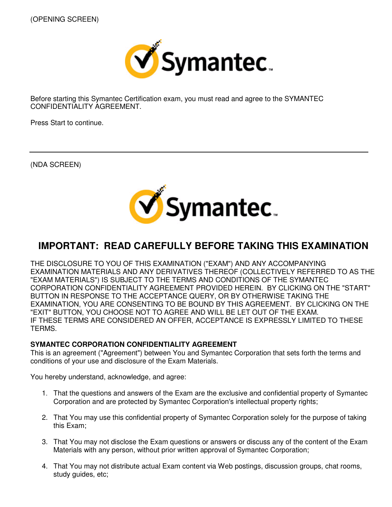

Before starting this Symantec Certification exam, you must read and agree to the SYMANTEC CONFIDENTIALITY AGREEMENT.

Press Start to continue.

(NDA SCREEN)



# **IMPORTANT: READ CAREFULLY BEFORE TAKING THIS EXAMINATION**

THE DISCLOSURE TO YOU OF THIS EXAMINATION ("EXAM") AND ANY ACCOMPANYING EXAMINATION MATERIALS AND ANY DERIVATIVES THEREOF (COLLECTIVELY REFERRED TO AS THE "EXAM MATERIALS") IS SUBJECT TO THE TERMS AND CONDITIONS OF THE SYMANTEC CORPORATION CONFIDENTIALITY AGREEMENT PROVIDED HEREIN. BY CLICKING ON THE "START" BUTTON IN RESPONSE TO THE ACCEPTANCE QUERY, OR BY OTHERWISE TAKING THE EXAMINATION, YOU ARE CONSENTING TO BE BOUND BY THIS AGREEMENT. BY CLICKING ON THE "EXIT" BUTTON, YOU CHOOSE NOT TO AGREE AND WILL BE LET OUT OF THE EXAM. IF THESE TERMS ARE CONSIDERED AN OFFER, ACCEPTANCE IS EXPRESSLY LIMITED TO THESE TERMS.

### **SYMANTEC CORPORATION CONFIDENTIALITY AGREEMENT**

This is an agreement ("Agreement") between You and Symantec Corporation that sets forth the terms and conditions of your use and disclosure of the Exam Materials.

You hereby understand, acknowledge, and agree:

- 1. That the questions and answers of the Exam are the exclusive and confidential property of Symantec Corporation and are protected by Symantec Corporation's intellectual property rights;
- 2. That You may use this confidential property of Symantec Corporation solely for the purpose of taking this Exam;
- 3. That You may not disclose the Exam questions or answers or discuss any of the content of the Exam Materials with any person, without prior written approval of Symantec Corporation;
- 4. That You may not distribute actual Exam content via Web postings, discussion groups, chat rooms, study guides, etc;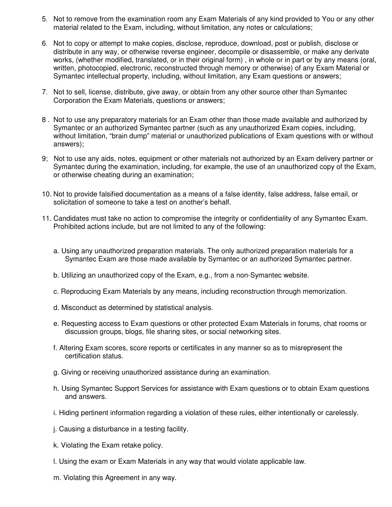- 5. Not to remove from the examination room any Exam Materials of any kind provided to You or any other material related to the Exam, including, without limitation, any notes or calculations;
- 6. Not to copy or attempt to make copies, disclose, reproduce, download, post or publish, disclose or distribute in any way, or otherwise reverse engineer, decompile or disassemble, or make any derivate works, (whether modified, translated, or in their original form) , in whole or in part or by any means (oral, written, photocopied, electronic, reconstructed through memory or otherwise) of any Exam Material or Symantec intellectual property, including, without limitation, any Exam questions or answers;
- 7. Not to sell, license, distribute, give away, or obtain from any other source other than Symantec Corporation the Exam Materials, questions or answers;
- 8 . Not to use any preparatory materials for an Exam other than those made available and authorized by Symantec or an authorized Symantec partner (such as any unauthorized Exam copies, including, without limitation, "brain dump" material or unauthorized publications of Exam questions with or without answers);
- 9; Not to use any aids, notes, equipment or other materials not authorized by an Exam delivery partner or Symantec during the examination, including, for example, the use of an unauthorized copy of the Exam, or otherwise cheating during an examination;
- 10. Not to provide falsified documentation as a means of a false identity, false address, false email, or solicitation of someone to take a test on another's behalf.
- 11. Candidates must take no action to compromise the integrity or confidentiality of any Symantec Exam. Prohibited actions include, but are not limited to any of the following:
	- a. Using any unauthorized preparation materials. The only authorized preparation materials for a Symantec Exam are those made available by Symantec or an authorized Symantec partner.
	- b. Utilizing an unauthorized copy of the Exam, e.g., from a non-Symantec website.
	- c. Reproducing Exam Materials by any means, including reconstruction through memorization.
	- d. Misconduct as determined by statistical analysis.
	- e. Requesting access to Exam questions or other protected Exam Materials in forums, chat rooms or discussion groups, blogs, file sharing sites, or social networking sites.
	- f. Altering Exam scores, score reports or certificates in any manner so as to misrepresent the certification status.
	- g. Giving or receiving unauthorized assistance during an examination.
	- h. Using Symantec Support Services for assistance with Exam questions or to obtain Exam questions and answers.
	- i. Hiding pertinent information regarding a violation of these rules, either intentionally or carelessly.
	- j. Causing a disturbance in a testing facility.
	- k. Violating the Exam retake policy.
	- l. Using the exam or Exam Materials in any way that would violate applicable law.
	- m. Violating this Agreement in any way.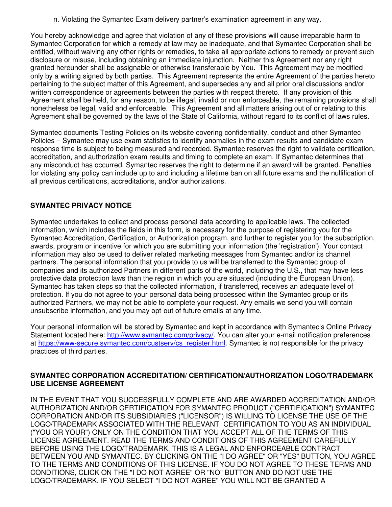n. Violating the Symantec Exam delivery partner's examination agreement in any way.

You hereby acknowledge and agree that violation of any of these provisions will cause irreparable harm to Symantec Corporation for which a remedy at law may be inadequate, and that Symantec Corporation shall be entitled, without waiving any other rights or remedies, to take all appropriate actions to remedy or prevent such disclosure or misuse, including obtaining an immediate injunction. Neither this Agreement nor any right granted hereunder shall be assignable or otherwise transferable by You. This Agreement may be modified only by a writing signed by both parties. This Agreement represents the entire Agreement of the parties hereto pertaining to the subject matter of this Agreement, and supersedes any and all prior oral discussions and/or written correspondence or agreements between the parties with respect thereto. If any provision of this Agreement shall be held, for any reason, to be illegal, invalid or non enforceable, the remaining provisions shall nonetheless be legal, valid and enforceable. This Agreement and all matters arising out of or relating to this Agreement shall be governed by the laws of the State of California, without regard to its conflict of laws rules.

Symantec documents Testing Policies on its website covering confidentiality, conduct and other Symantec Policies – Symantec may use exam statistics to identify anomalies in the exam results and candidate exam response time is subject to being measured and recorded. Symantec reserves the right to validate certification, accreditation, and authorization exam results and timing to complete an exam. If Symantec determines that any misconduct has occurred, Symantec reserves the right to determine if an award will be granted. Penalties for violating any policy can include up to and including a lifetime ban on all future exams and the nullification of all previous certifications, accreditations, and/or authorizations.

## **SYMANTEC PRIVACY NOTICE**

Symantec undertakes to collect and process personal data according to applicable laws. The collected information, which includes the fields in this form, is necessary for the purpose of registering you for the Symantec Accreditation, Certification, or Authorization program, and further to register you for the subscription, awards, program or incentive for which you are submitting your information (the 'registration'). Your contact information may also be used to deliver related marketing messages from Symantec and/or its channel partners. The personal information that you provide to us will be transferred to the Symantec group of companies and its authorized Partners in different parts of the world, including the U.S., that may have less protective data protection laws than the region in which you are situated (including the European Union). Symantec has taken steps so that the collected information, if transferred, receives an adequate level of protection. If you do not agree to your personal data being processed within the Symantec group or its authorized Partners, we may not be able to complete your request. Any emails we send you will contain unsubscribe information, and you may opt-out of future emails at any time.

Your personal information will be stored by Symantec and kept in accordance with Symantec's Online Privacy Statement located here: http://www.symantec.com/privacy/ You can alter your e-mail notification preferences at https://www-secure.symantec.com/custserv/cs\_register.html. Symantec is not responsible for the privacy practices of third parties.

## **SYMANTEC CORPORATION ACCREDITATION/ CERTIFICATION/AUTHORIZATION LOGO/TRADEMARK USE LICENSE AGREEMENT**

IN THE EVENT THAT YOU SUCCESSFULLY COMPLETE AND ARE AWARDED ACCREDITATION AND/OR AUTHORIZATION AND/OR CERTIFICATION FOR SYMANTEC PRODUCT ("CERTIFICATION") SYMANTEC CORPORATION AND/OR ITS SUBSIDIARIES ("LICENSOR") IS WILLING TO LICENSE THE USE OF THE LOGO/TRADEMARK ASSOCIATED WITH THE RELEVANT CERTIFICATION TO YOU AS AN INDIVIDUAL ("YOU OR YOUR") ONLY ON THE CONDITION THAT YOU ACCEPT ALL OF THE TERMS OF THIS LICENSE AGREEMENT. READ THE TERMS AND CONDITIONS OF THIS AGREEMENT CAREFULLY BEFORE USING THE LOGO/TRADEMARK. THIS IS A LEGAL AND ENFORCEABLE CONTRACT BETWEEN YOU AND SYMANTEC. BY CLICKING ON THE "I DO AGREE" OR "YES" BUTTON, YOU AGREE TO THE TERMS AND CONDITIONS OF THIS LICENSE. IF YOU DO NOT AGREE TO THESE TERMS AND CONDITIONS, CLICK ON THE "I DO NOT AGREE" OR "NO" BUTTON AND DO NOT USE THE LOGO/TRADEMARK. IF YOU SELECT "I DO NOT AGREE" YOU WILL NOT BE GRANTED A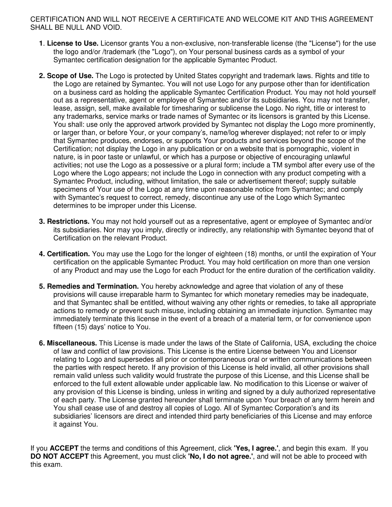### CERTIFICATION AND WILL NOT RECEIVE A CERTIFICATE AND WELCOME KIT AND THIS AGREEMENT SHALL BE NULL AND VOID.

- **1**. **License to Use.** Licensor grants You a non-exclusive, non-transferable license (the "License") for the use the logo and/or /trademark (the "Logo"), on Your personal business cards as a symbol of your Symantec certification designation for the applicable Symantec Product.
- **2. Scope of Use.** The Logo is protected by United States copyright and trademark laws. Rights and title to the Logo are retained by Symantec. You will not use Logo for any purpose other than for identification on a business card as holding the applicable Symantec Certification Product. You may not hold yourself out as a representative, agent or employee of Symantec and/or its subsidiaries. You may not transfer, lease, assign, sell, make available for timesharing or sublicense the Logo. No right, title or interest to any trademarks, service marks or trade names of Symantec or its licensors is granted by this License. You shall: use only the approved artwork provided by Symantec not display the Logo more prominently, or larger than, or before Your, or your company's, name/log wherever displayed; not refer to or imply that Symantec produces, endorses, or supports Your products and services beyond the scope of the Certification; not display the Logo in any publication or on a website that is pornographic, violent in nature, is in poor taste or unlawful, or which has a purpose or objective of encouraging unlawful activities; not use the Logo as a possessive or a plural form; include a TM symbol after every use of the Logo where the Logo appears; not include the Logo in connection with any product competing with a Symantec Product, including, without limitation, the sale or advertisement thereof; supply suitable specimens of Your use of the Logo at any time upon reasonable notice from Symantec; and comply with Symantec's request to correct, remedy, discontinue any use of the Logo which Symantec determines to be improper under this License.
- **3. Restrictions.** You may not hold yourself out as a representative, agent or employee of Symantec and/or its subsidiaries. Nor may you imply, directly or indirectly, any relationship with Symantec beyond that of Certification on the relevant Product.
- **4. Certification.** You may use the Logo for the longer of eighteen (18) months, or until the expiration of Your certification on the applicable Symantec Product. You may hold certification on more than one version of any Product and may use the Logo for each Product for the entire duration of the certification validity.
- **5. Remedies and Termination.** You hereby acknowledge and agree that violation of any of these provisions will cause irreparable harm to Symantec for which monetary remedies may be inadequate, and that Symantec shall be entitled, without waiving any other rights or remedies, to take all appropriate actions to remedy or prevent such misuse, including obtaining an immediate injunction. Symantec may immediately terminate this license in the event of a breach of a material term, or for convenience upon fifteen (15) days' notice to You.
- **6. Miscellaneous.** This License is made under the laws of the State of California, USA, excluding the choice of law and conflict of law provisions. This License is the entire License between You and Licensor relating to Logo and supersedes all prior or contemporaneous oral or written communications between the parties with respect hereto. If any provision of this License is held invalid, all other provisions shall remain valid unless such validity would frustrate the purpose of this License, and this License shall be enforced to the full extent allowable under applicable law. No modification to this License or waiver of any provision of this License is binding, unless in writing and signed by a duly authorized representative of each party. The License granted hereunder shall terminate upon Your breach of any term herein and You shall cease use of and destroy all copies of Logo. All of Symantec Corporation's and its subsidiaries' licensors are direct and intended third party beneficiaries of this License and may enforce it against You.

If you **ACCEPT** the terms and conditions of this Agreement, click **'Yes, I agree.'**, and begin this exam. If you **DO NOT ACCEPT** this Agreement, you must click **'No, I do not agree.'**, and will not be able to proceed with this exam.